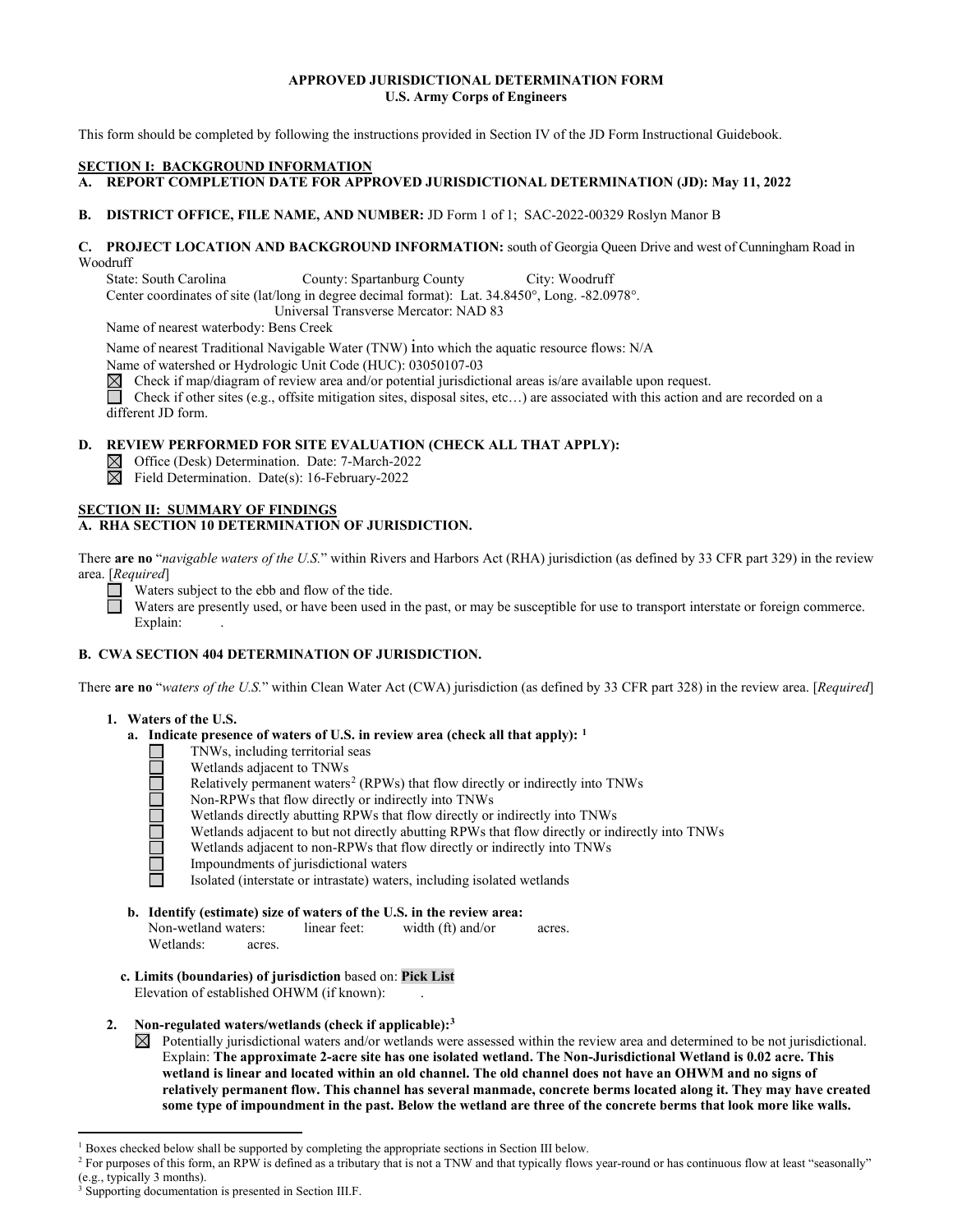# **APPROVED JURISDICTIONAL DETERMINATION FORM U.S. Army Corps of Engineers**

This form should be completed by following the instructions provided in Section IV of the JD Form Instructional Guidebook.

### **SECTION I: BACKGROUND INFORMATION**

**A. REPORT COMPLETION DATE FOR APPROVED JURISDICTIONAL DETERMINATION (JD): May 11, 2022** 

## **B. DISTRICT OFFICE, FILE NAME, AND NUMBER:** JD Form 1 of 1; SAC-2022-00329 Roslyn Manor B

### **C. PROJECT LOCATION AND BACKGROUND INFORMATION:** south of Georgia Queen Drive and west of Cunningham Road in Woodruff

State: South Carolina County: Spartanburg County City: Woodruff Center coordinates of site (lat/long in degree decimal format): Lat. 34.8450°, Long. -82.0978°.

Universal Transverse Mercator: NAD 83

Name of nearest waterbody: Bens Creek

Name of nearest Traditional Navigable Water (TNW) into which the aquatic resource flows: N/A

Name of watershed or Hydrologic Unit Code (HUC): 03050107-03

 $\boxtimes$ Check if map/diagram of review area and/or potential jurisdictional areas is/are available upon request.

Check if other sites (e.g., offsite mitigation sites, disposal sites, etc...) are associated with this action and are recorded on a different JD form.

### **D. REVIEW PERFORMED FOR SITE EVALUATION (CHECK ALL THAT APPLY):**

Office (Desk) Determination. Date: 7-March-2022

 $\overline{\boxtimes}$ Field Determination. Date(s): 16-February-2022

#### **SECTION II: SUMMARY OF FINDINGS A. RHA SECTION 10 DETERMINATION OF JURISDICTION.**

There **are no** "*navigable waters of the U.S.*" within Rivers and Harbors Act (RHA) jurisdiction (as defined by 33 CFR part 329) in the review area. [*Required*]

Waters subject to the ebb and flow of the tide. П

Waters are presently used, or have been used in the past, or may be susceptible for use to transport interstate or foreign commerce. Explain:

# **B. CWA SECTION 404 DETERMINATION OF JURISDICTION.**

There **are no** "*waters of the U.S.*" within Clean Water Act (CWA) jurisdiction (as defined by 33 CFR part 328) in the review area. [*Required*]

#### **1. Waters of the U.S.**

- **a. Indicate presence of waters of U.S. in review area (check all that apply): [1](#page-0-0)**
	- TNWs, including territorial seas
	- □ Wetlands adjacent to TNWs<br>
	Relatively permanent waters<br>
	□ Non-RPWs that flow directly<br>
	Wetlands directly abutting R<br>
	Wetlands adjacent to but not<br>
	Wetlands adjacent to non-RI<br>
	Impoundments of jurisdiction<br>
	Isolated (int
		- Relatively permanent waters<sup>2</sup> (RPWs) that flow directly or indirectly into TNWs
		- Non-RPWs that flow directly or indirectly into TNWs
		- Wetlands directly abutting RPWs that flow directly or indirectly into TNWs
		- Wetlands adjacent to but not directly abutting RPWs that flow directly or indirectly into TNWs
		- Wetlands adjacent to non-RPWs that flow directly or indirectly into TNWs
		- Impoundments of jurisdictional waters
		- Isolated (interstate or intrastate) waters, including isolated wetlands
- **b. Identify (estimate) size of waters of the U.S. in the review area:** Non-wetland waters: linear feet: width (ft) and/or acres. Wetlands: acres.
- **c. Limits (boundaries) of jurisdiction** based on: **Pick List** Elevation of established OHWM (if known):
- **2. Non-regulated waters/wetlands (check if applicable)[:3](#page-0-2)**
	- $\boxtimes$  Potentially jurisdictional waters and/or wetlands were assessed within the review area and determined to be not jurisdictional. Explain: **The approximate 2-acre site has one isolated wetland. The Non-Jurisdictional Wetland is 0.02 acre. This wetland is linear and located within an old channel. The old channel does not have an OHWM and no signs of relatively permanent flow. This channel has several manmade, concrete berms located along it. They may have created some type of impoundment in the past. Below the wetland are three of the concrete berms that look more like walls.**

<span id="page-0-0"></span><sup>&</sup>lt;sup>1</sup> Boxes checked below shall be supported by completing the appropriate sections in Section III below.

<span id="page-0-1"></span><sup>&</sup>lt;sup>2</sup> For purposes of this form, an RPW is defined as a tributary that is not a TNW and that typically flows year-round or has continuous flow at least "seasonally" (e.g., typically 3 months).

<span id="page-0-2"></span><sup>3</sup> Supporting documentation is presented in Section III.F.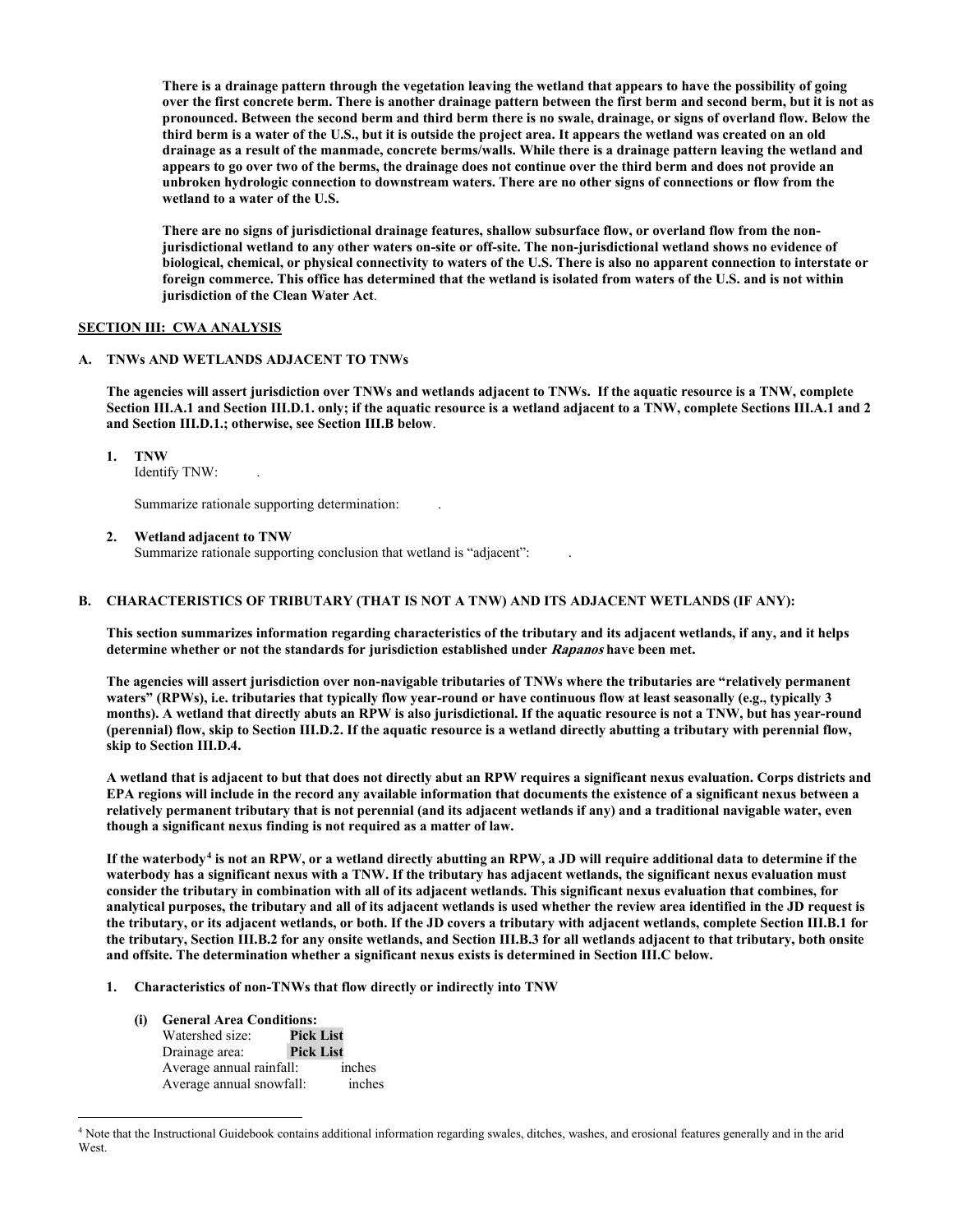**There is a drainage pattern through the vegetation leaving the wetland that appears to have the possibility of going over the first concrete berm. There is another drainage pattern between the first berm and second berm, but it is not as pronounced. Between the second berm and third berm there is no swale, drainage, or signs of overland flow. Below the third berm is a water of the U.S., but it is outside the project area. It appears the wetland was created on an old drainage as a result of the manmade, concrete berms/walls. While there is a drainage pattern leaving the wetland and appears to go over two of the berms, the drainage does not continue over the third berm and does not provide an unbroken hydrologic connection to downstream waters. There are no other signs of connections or flow from the wetland to a water of the U.S.**

 **There are no signs of jurisdictional drainage features, shallow subsurface flow, or overland flow from the nonjurisdictional wetland to any other waters on-site or off-site. The non-jurisdictional wetland shows no evidence of biological, chemical, or physical connectivity to waters of the U.S. There is also no apparent connection to interstate or foreign commerce. This office has determined that the wetland is isolated from waters of the U.S. and is not within jurisdiction of the Clean Water Act**.

### **SECTION III: CWA ANALYSIS**

#### **A. TNWs AND WETLANDS ADJACENT TO TNWs**

**The agencies will assert jurisdiction over TNWs and wetlands adjacent to TNWs. If the aquatic resource is a TNW, complete Section III.A.1 and Section III.D.1. only; if the aquatic resource is a wetland adjacent to a TNW, complete Sections III.A.1 and 2 and Section III.D.1.; otherwise, see Section III.B below**.

 **1. TNW** 

Identify TNW: .

Summarize rationale supporting determination: .

 **2. Wetland adjacent to TNW** 

Summarize rationale supporting conclusion that wetland is "adjacent":

# **B. CHARACTERISTICS OF TRIBUTARY (THAT IS NOT A TNW) AND ITS ADJACENT WETLANDS (IF ANY):**

 **This section summarizes information regarding characteristics of the tributary and its adjacent wetlands, if any, and it helps determine whether or not the standards for jurisdiction established under Rapanos have been met.** 

 **The agencies will assert jurisdiction over non-navigable tributaries of TNWs where the tributaries are "relatively permanent waters" (RPWs), i.e. tributaries that typically flow year-round or have continuous flow at least seasonally (e.g., typically 3 months). A wetland that directly abuts an RPW is also jurisdictional. If the aquatic resource is not a TNW, but has year-round (perennial) flow, skip to Section III.D.2. If the aquatic resource is a wetland directly abutting a tributary with perennial flow, skip to Section III.D.4.** 

**A wetland that is adjacent to but that does not directly abut an RPW requires a significant nexus evaluation. Corps districts and EPA regions will include in the record any available information that documents the existence of a significant nexus between a relatively permanent tributary that is not perennial (and its adjacent wetlands if any) and a traditional navigable water, even though a significant nexus finding is not required as a matter of law.** 

**If the waterbody[4](#page-1-0) is not an RPW, or a wetland directly abutting an RPW, a JD will require additional data to determine if the waterbody has a significant nexus with a TNW. If the tributary has adjacent wetlands, the significant nexus evaluation must consider the tributary in combination with all of its adjacent wetlands. This significant nexus evaluation that combines, for analytical purposes, the tributary and all of its adjacent wetlands is used whether the review area identified in the JD request is the tributary, or its adjacent wetlands, or both. If the JD covers a tributary with adjacent wetlands, complete Section III.B.1 for the tributary, Section III.B.2 for any onsite wetlands, and Section III.B.3 for all wetlands adjacent to that tributary, both onsite and offsite. The determination whether a significant nexus exists is determined in Section III.C below.** 

- **1. Characteristics of non-TNWs that flow directly or indirectly into TNW**
	- **(i) General Area Conditions:** Watershed size: **Pick List** Drainage area: **Pick List** Average annual rainfall: inches<br>Average annual snowfall: inches Average annual snowfall:

<span id="page-1-0"></span><sup>4</sup> Note that the Instructional Guidebook contains additional information regarding swales, ditches, washes, and erosional features generally and in the arid **West**.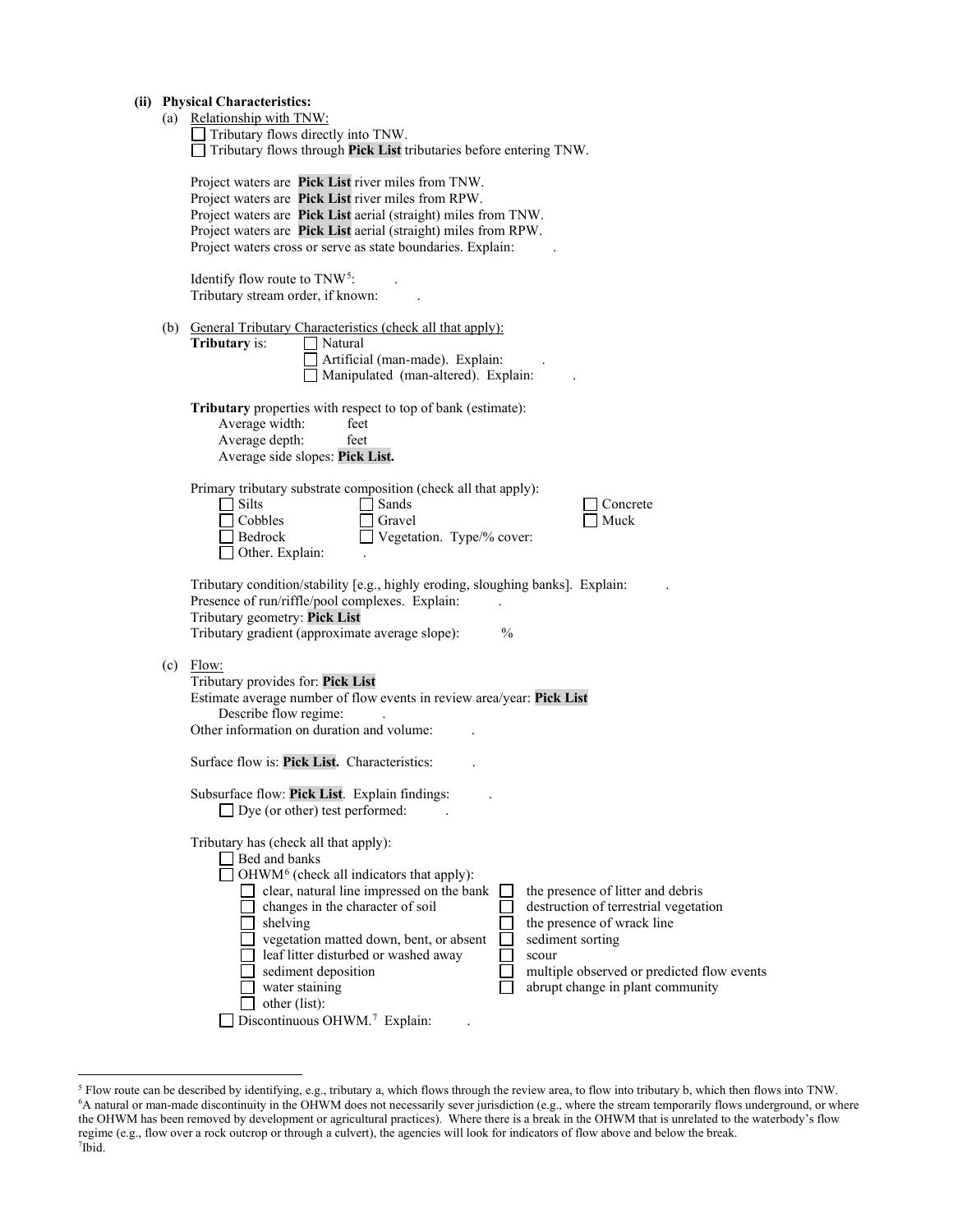|  | (ii) Physical Characteristics: |  |
|--|--------------------------------|--|
|--|--------------------------------|--|

|  | (ii) Physical Characteristics:<br>(a) Relationship with TNW:<br>$\Box$ Tributary flows directly into TNW.<br>$\Box$ Tributary flows through Pick List tributaries before entering TNW.                                                                                                                                                                                                                                                                                                                                                                                              |  |  |
|--|-------------------------------------------------------------------------------------------------------------------------------------------------------------------------------------------------------------------------------------------------------------------------------------------------------------------------------------------------------------------------------------------------------------------------------------------------------------------------------------------------------------------------------------------------------------------------------------|--|--|
|  | Project waters are Pick List river miles from TNW.<br>Project waters are Pick List river miles from RPW.<br>Project waters are Pick List aerial (straight) miles from TNW.<br>Project waters are Pick List aerial (straight) miles from RPW.<br>Project waters cross or serve as state boundaries. Explain:                                                                                                                                                                                                                                                                         |  |  |
|  | Identify flow route to $TNW5$ :<br>Tributary stream order, if known:                                                                                                                                                                                                                                                                                                                                                                                                                                                                                                                |  |  |
|  | (b) General Tributary Characteristics (check all that apply):<br>Tributary is:<br>Natural<br>Artificial (man-made). Explain:<br>Manipulated (man-altered). Explain:                                                                                                                                                                                                                                                                                                                                                                                                                 |  |  |
|  | Tributary properties with respect to top of bank (estimate):<br>Average width:<br>feet<br>Average depth:<br>feet<br>Average side slopes: Pick List.                                                                                                                                                                                                                                                                                                                                                                                                                                 |  |  |
|  | Primary tributary substrate composition (check all that apply):<br>$\Box$ Silts<br>Sands<br>Concrete<br>$\Box$ Cobbles<br>Gravel<br>Muck<br>Vegetation. Type/% cover:<br>  Bedrock<br>□ Other. Explain:                                                                                                                                                                                                                                                                                                                                                                             |  |  |
|  | Tributary condition/stability [e.g., highly eroding, sloughing banks]. Explain:<br>Presence of run/riffle/pool complexes. Explain:<br>Tributary geometry: Pick List<br>$\frac{0}{0}$<br>Tributary gradient (approximate average slope):                                                                                                                                                                                                                                                                                                                                             |  |  |
|  | $(c)$ Flow:<br>Tributary provides for: Pick List<br>Estimate average number of flow events in review area/year: Pick List<br>Describe flow regime:<br>Other information on duration and volume:                                                                                                                                                                                                                                                                                                                                                                                     |  |  |
|  | Surface flow is: Pick List. Characteristics:                                                                                                                                                                                                                                                                                                                                                                                                                                                                                                                                        |  |  |
|  | Subsurface flow: Pick List. Explain findings:<br>$\Box$ Dye (or other) test performed:                                                                                                                                                                                                                                                                                                                                                                                                                                                                                              |  |  |
|  | Tributary has (check all that apply):<br>Bed and banks<br>OHWM <sup>6</sup> (check all indicators that apply):<br>clear, natural line impressed on the bank<br>the presence of litter and debris<br>changes in the character of soil<br>destruction of terrestrial vegetation<br>shelving<br>the presence of wrack line<br>sediment sorting<br>vegetation matted down, bent, or absent<br>leaf litter disturbed or washed away<br>scour<br>sediment deposition<br>multiple observed or predicted flow events<br>water staining<br>abrupt change in plant community<br>other (list): |  |  |

Discontinuous OHWM.<sup>7</sup> Explain: .

<span id="page-2-2"></span><span id="page-2-1"></span><span id="page-2-0"></span><sup>5</sup> Flow route can be described by identifying, e.g., tributary a, which flows through the review area, to flow into tributary b, which then flows into TNW. 6 A natural or man-made discontinuity in the OHWM does not necessarily sever jurisdiction (e.g., where the stream temporarily flows underground, or where the OHWM has been removed by development or agricultural practices). Where there is a break in the OHWM that is unrelated to the waterbody's flow regime (e.g., flow over a rock outcrop or through a culvert), the agencies will look for indicators of flow above and below the break. 7 Ibid.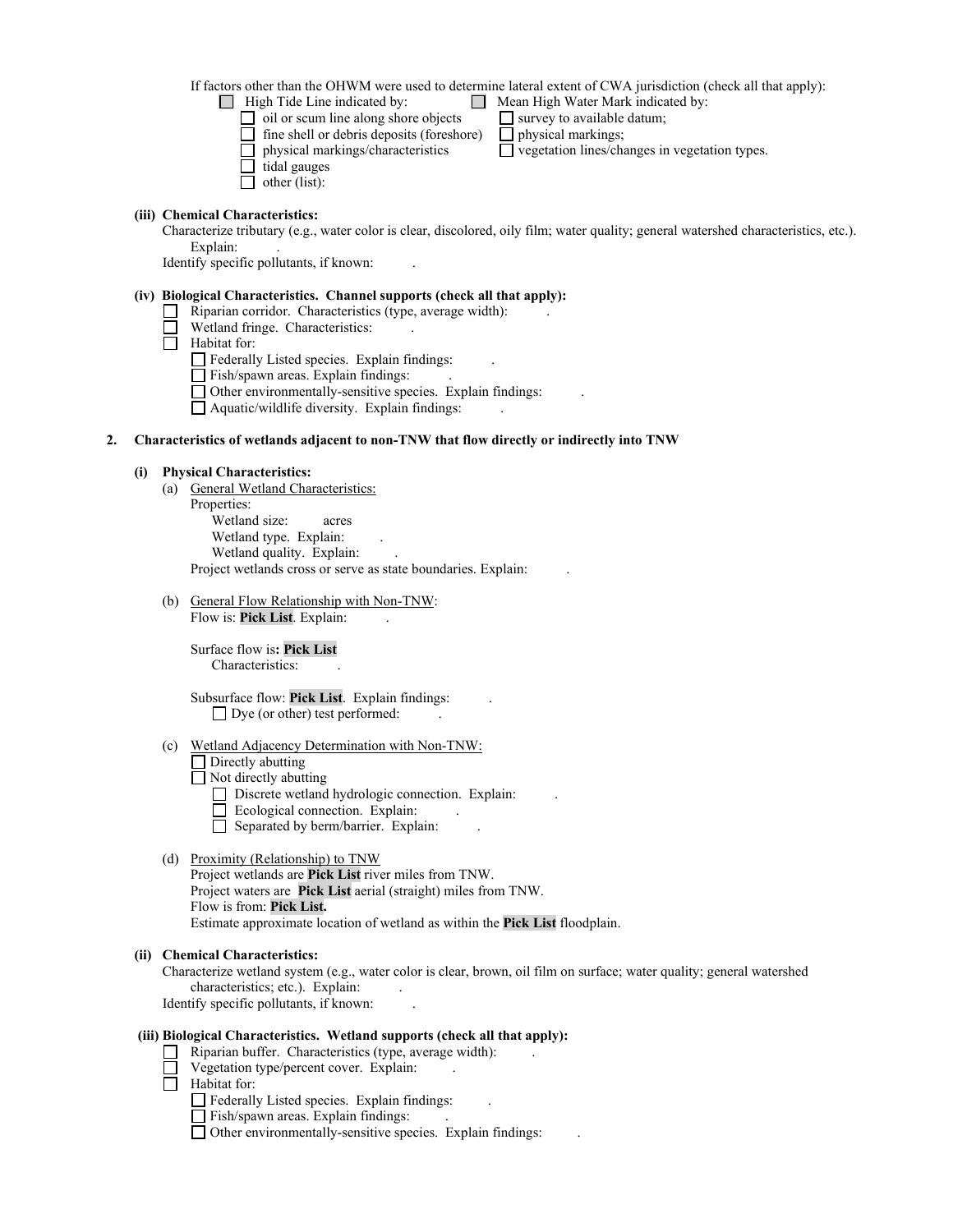If factors other than the OHWM were used to determine lateral extent of CWA jurisdiction (check all that apply):

- **■** High Tide Line indicated by: <br>**■** Mean High Water Mark indicated by:<br><br>**■** survey to available datum;
	- oil or scum line along shore objects  $\Box$  survey to available  $\Box$  fine shell or debris deposits (foreshore)  $\Box$  physical markings;
	- $\Box$  fine shell or debris deposits (foreshore)  $\Box$  physical markings/characteristics  $\Box$  vegetation lines/changes in vegetation types.
	- $\Box$  tidal gauges
	- $\Box$  other (list):

# **(iii) Chemical Characteristics:**

Characterize tributary (e.g., water color is clear, discolored, oily film; water quality; general watershed characteristics, etc.). Explain:

Identify specific pollutants, if known: .

### **(iv) Biological Characteristics. Channel supports (check all that apply):**

- Riparian corridor. Characteristics (type, average width): .
- Wetland fringe. Characteristics:
- $\overline{\Box}$  Habitat for:

Federally Listed species. Explain findings: .

- Fish/spawn areas. Explain findings: .
- Other environmentally-sensitive species. Explain findings: .
- Aquatic/wildlife diversity. Explain findings: .

### **2. Characteristics of wetlands adjacent to non-TNW that flow directly or indirectly into TNW**

### **(i) Physical Characteristics:**

- (a) General Wetland Characteristics: Properties: Wetland size: acres Wetland type. Explain: Wetland quality. Explain: Project wetlands cross or serve as state boundaries. Explain:
- (b) General Flow Relationship with Non-TNW: Flow is: **Pick List**. Explain: .

 Surface flow is**: Pick List**  Characteristics:

 Subsurface flow: **Pick List**. Explain findings: .  $\Box$  Dye (or other) test performed:

#### (c) Wetland Adjacency Determination with Non-TNW:

Directly abutting Not directly abutting

- Discrete wetland hydrologic connection. Explain:
- Ecological connection. Explain:
- $\Box$  Separated by berm/barrier. Explain:

#### (d) Proximity (Relationship) to TNW

Project wetlands are **Pick List** river miles from TNW. Project waters are **Pick List** aerial (straight) miles from TNW. Flow is from: **Pick List.** Estimate approximate location of wetland as within the **Pick List** floodplain.

#### **(ii) Chemical Characteristics:**

Characterize wetland system (e.g., water color is clear, brown, oil film on surface; water quality; general watershed characteristics; etc.). Explain:

Identify specific pollutants, if known: .

# **(iii) Biological Characteristics. Wetland supports (check all that apply):**

- Riparian buffer. Characteristics (type, average width): .
- Vegetation type/percent cover. Explain:
- Habitat for:
	- $\Box$  Federally Listed species. Explain findings:
	- $\Box$  Fish/spawn areas. Explain findings:
	- Other environmentally-sensitive species. Explain findings: .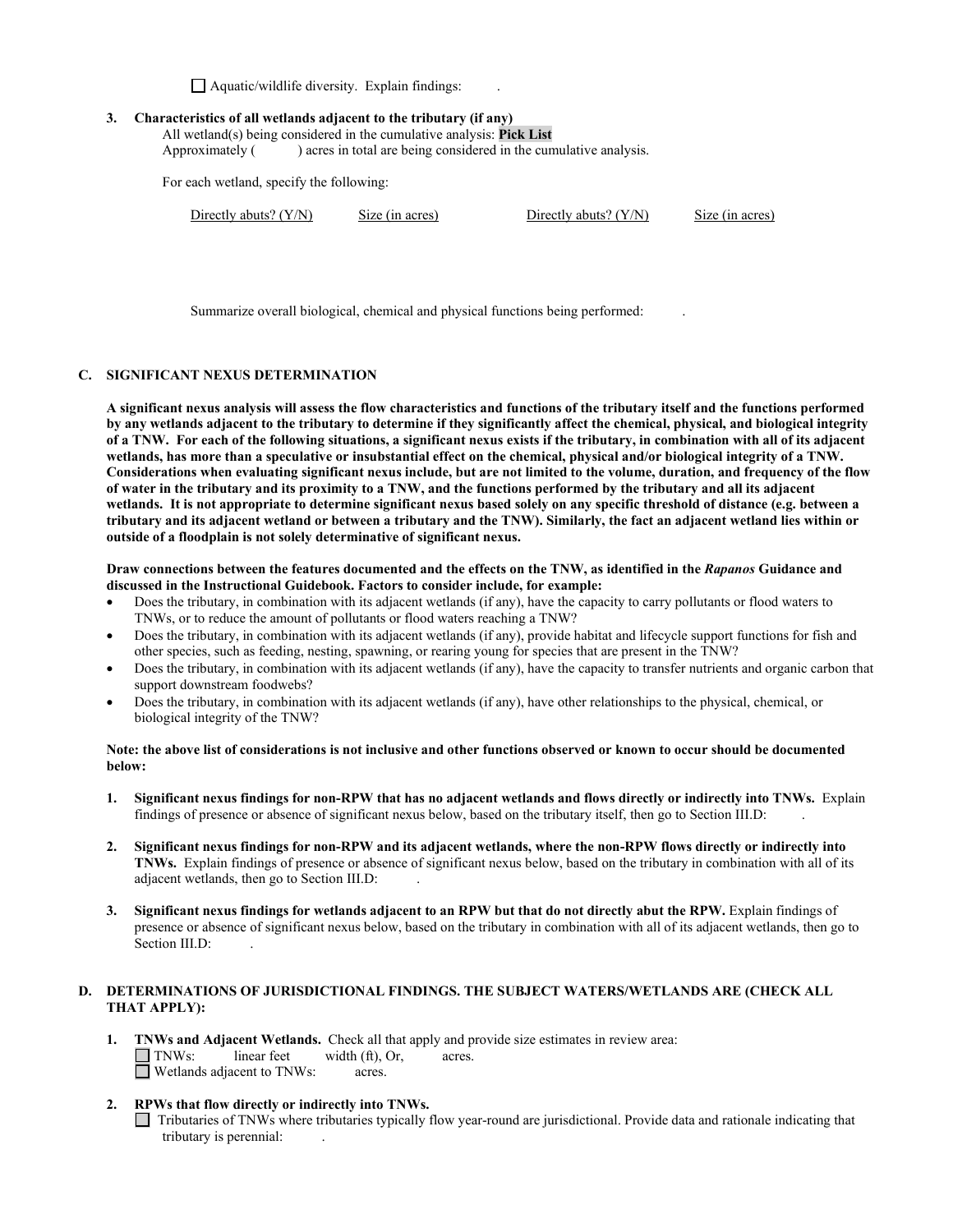$\Box$  Aquatic/wildlife diversity. Explain findings:

### **3. Characteristics of all wetlands adjacent to the tributary (if any)**

All wetland(s) being considered in the cumulative analysis: **Pick List** Approximately () acres in total are being considered in the cumulative analysis.

For each wetland, specify the following:

Directly abuts? (Y/N) Size (in acres) Directly abuts? (Y/N) Size (in acres)

Summarize overall biological, chemical and physical functions being performed: .

# **C. SIGNIFICANT NEXUS DETERMINATION**

**A significant nexus analysis will assess the flow characteristics and functions of the tributary itself and the functions performed by any wetlands adjacent to the tributary to determine if they significantly affect the chemical, physical, and biological integrity of a TNW. For each of the following situations, a significant nexus exists if the tributary, in combination with all of its adjacent wetlands, has more than a speculative or insubstantial effect on the chemical, physical and/or biological integrity of a TNW. Considerations when evaluating significant nexus include, but are not limited to the volume, duration, and frequency of the flow of water in the tributary and its proximity to a TNW, and the functions performed by the tributary and all its adjacent wetlands. It is not appropriate to determine significant nexus based solely on any specific threshold of distance (e.g. between a tributary and its adjacent wetland or between a tributary and the TNW). Similarly, the fact an adjacent wetland lies within or outside of a floodplain is not solely determinative of significant nexus.** 

#### **Draw connections between the features documented and the effects on the TNW, as identified in the** *Rapanos* **Guidance and discussed in the Instructional Guidebook. Factors to consider include, for example:**

- Does the tributary, in combination with its adjacent wetlands (if any), have the capacity to carry pollutants or flood waters to TNWs, or to reduce the amount of pollutants or flood waters reaching a TNW?
- Does the tributary, in combination with its adjacent wetlands (if any), provide habitat and lifecycle support functions for fish and other species, such as feeding, nesting, spawning, or rearing young for species that are present in the TNW?
- Does the tributary, in combination with its adjacent wetlands (if any), have the capacity to transfer nutrients and organic carbon that support downstream foodwebs?
- Does the tributary, in combination with its adjacent wetlands (if any), have other relationships to the physical, chemical, or biological integrity of the TNW?

## **Note: the above list of considerations is not inclusive and other functions observed or known to occur should be documented below:**

- **1. Significant nexus findings for non-RPW that has no adjacent wetlands and flows directly or indirectly into TNWs.** Explain findings of presence or absence of significant nexus below, based on the tributary itself, then go to Section III.D: .
- **2. Significant nexus findings for non-RPW and its adjacent wetlands, where the non-RPW flows directly or indirectly into TNWs.** Explain findings of presence or absence of significant nexus below, based on the tributary in combination with all of its adjacent wetlands, then go to Section III.D: .
- **3. Significant nexus findings for wetlands adjacent to an RPW but that do not directly abut the RPW.** Explain findings of presence or absence of significant nexus below, based on the tributary in combination with all of its adjacent wetlands, then go to Section III.D:

# **D. DETERMINATIONS OF JURISDICTIONAL FINDINGS. THE SUBJECT WATERS/WETLANDS ARE (CHECK ALL THAT APPLY):**

- **1. TNWs and Adjacent Wetlands.** Check all that apply and provide size estimates in review area:  $\Box$  **TNWs:** linear feet width (ft). Or. acres. width (ft), Or, acres.  $\Box$  Wetlands adjacent to TNWs: acres.
- **2. RPWs that flow directly or indirectly into TNWs.** 
	- Tributaries of TNWs where tributaries typically flow year-round are jurisdictional. Provide data and rationale indicating that tributary is perennial: .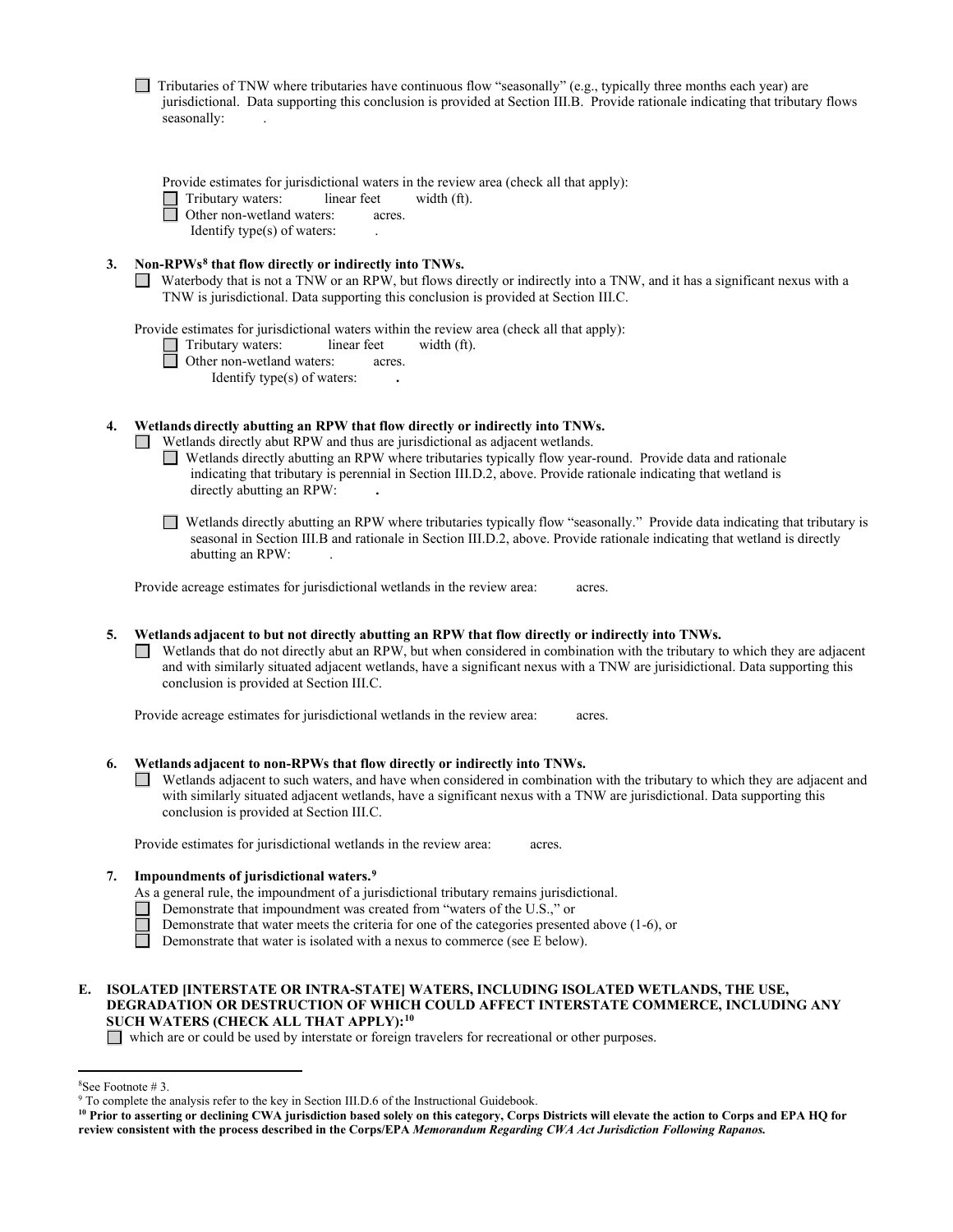| Tributaries of TNW where tributaries have continuous flow "seasonally" (e.g., typically three months each year) are |  |  |  |                                                                                                                                 |  |
|---------------------------------------------------------------------------------------------------------------------|--|--|--|---------------------------------------------------------------------------------------------------------------------------------|--|
|                                                                                                                     |  |  |  | jurisdictional. Data supporting this conclusion is provided at Section III.B. Provide rationale indicating that tributary flows |  |
| seasonally:                                                                                                         |  |  |  |                                                                                                                                 |  |

Provide estimates for jurisdictional waters in the review area (check all that apply):<br>
Tributary waters: linear feet width  $(ft)$ .

□ Tributary waters: linear feet width (ft).<br>□ Other non-wetland waters: acres.

Other non-wetland waters:acres.

Identify type(s) of waters: .

- **3. Non-RPWs[8](#page-5-0) that flow directly or indirectly into TNWs.**
	- Waterbody that is not a TNW or an RPW, but flows directly or indirectly into a TNW, and it has a significant nexus with a TNW is jurisdictional. Data supporting this conclusion is provided at Section III.C.

Provide estimates for jurisdictional waters within the review area (check all that apply):

- Tributary waters:linear feetwidth (ft).
- □ Other non-wetland waters: acres.

Identify type(s) of waters: **.** 

# **4. Wetlands directly abutting an RPW that flow directly or indirectly into TNWs.**

Wetlands directly abut RPW and thus are jurisdictional as adjacent wetlands.

- Wetlands directly abutting an RPW where tributaries typically flow year-round. Provide data and rationale indicating that tributary is perennial in Section III.D.2, above. Provide rationale indicating that wetland is directly abutting an RPW: **.**
- Wetlands directly abutting an RPW where tributaries typically flow "seasonally." Provide data indicating that tributary is seasonal in Section III.B and rationale in Section III.D.2, above. Provide rationale indicating that wetland is directly abutting an RPW: .

Provide acreage estimates for jurisdictional wetlands in the review area:acres.

**5. Wetlands adjacent to but not directly abutting an RPW that flow directly or indirectly into TNWs.** 

 Wetlands that do not directly abut an RPW, but when considered in combination with the tributary to which they are adjacent and with similarly situated adjacent wetlands, have a significant nexus with a TNW are jurisidictional. Data supporting this conclusion is provided at Section III.C.

Provide acreage estimates for jurisdictional wetlands in the review area:acres.

# **6. Wetlands adjacent to non-RPWs that flow directly or indirectly into TNWs.**

Wetlands adjacent to such waters, and have when considered in combination with the tributary to which they are adjacent and with similarly situated adjacent wetlands, have a significant nexus with a TNW are jurisdictional. Data supporting this conclusion is provided at Section III.C.

Provide estimates for jurisdictional wetlands in the review area:acres.

#### **7. Impoundments of jurisdictional waters. [9](#page-5-1)**

- As a general rule, the impoundment of a jurisdictional tributary remains jurisdictional.
- Demonstrate that impoundment was created from "waters of the U.S.," or
- Demonstrate that water meets the criteria for one of the categories presented above (1-6), or
- Demonstrate that water is isolated with a nexus to commerce (see E below).

# **E. ISOLATED [INTERSTATE OR INTRA-STATE] WATERS, INCLUDING ISOLATED WETLANDS, THE USE, DEGRADATION OR DESTRUCTION OF WHICH COULD AFFECT INTERSTATE COMMERCE, INCLUDING ANY SUCH WATERS (CHECK ALL THAT APPLY):[10](#page-5-2)**

which are or could be used by interstate or foreign travelers for recreational or other purposes.

<span id="page-5-0"></span><sup>&</sup>lt;sup>8</sup>See Footnote #3.

<span id="page-5-1"></span> $9$  To complete the analysis refer to the key in Section III.D.6 of the Instructional Guidebook.

<span id="page-5-2"></span>**<sup>10</sup> Prior to asserting or declining CWA jurisdiction based solely on this category, Corps Districts will elevate the action to Corps and EPA HQ for review consistent with the process described in the Corps/EPA** *Memorandum Regarding CWA Act Jurisdiction Following Rapanos.*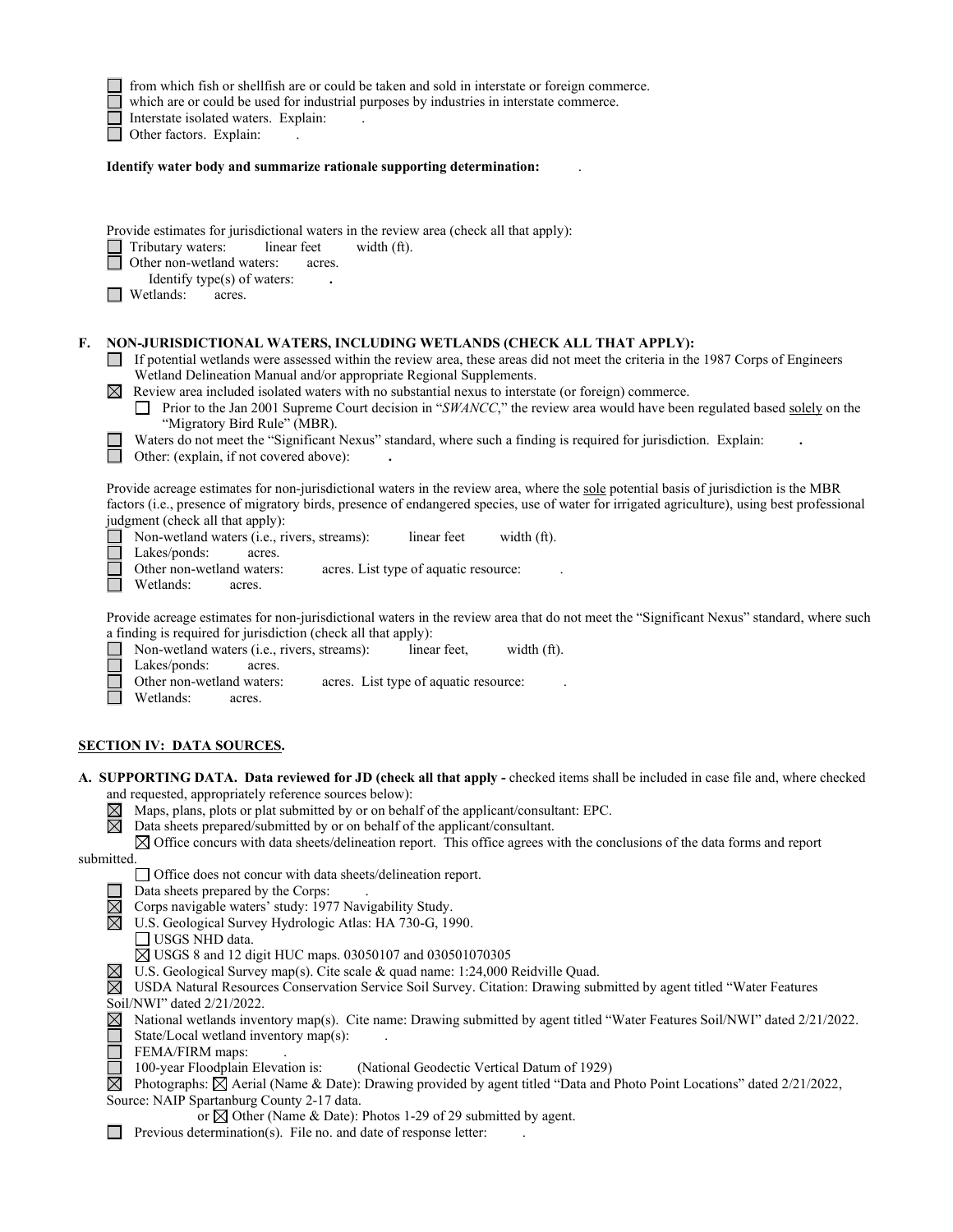|                                                                                                                                                                                                                                                                                                                                                                                                                   | from which fish or shellfish are or could be taken and sold in interstate or foreign commerce.<br>which are or could be used for industrial purposes by industries in interstate commerce.<br>Interstate isolated waters. Explain:                                                                                                                                                                                                                                                                                                                                                                                                                                                                                                       |  |  |  |  |
|-------------------------------------------------------------------------------------------------------------------------------------------------------------------------------------------------------------------------------------------------------------------------------------------------------------------------------------------------------------------------------------------------------------------|------------------------------------------------------------------------------------------------------------------------------------------------------------------------------------------------------------------------------------------------------------------------------------------------------------------------------------------------------------------------------------------------------------------------------------------------------------------------------------------------------------------------------------------------------------------------------------------------------------------------------------------------------------------------------------------------------------------------------------------|--|--|--|--|
|                                                                                                                                                                                                                                                                                                                                                                                                                   | Other factors. Explain:<br>Identify water body and summarize rationale supporting determination:                                                                                                                                                                                                                                                                                                                                                                                                                                                                                                                                                                                                                                         |  |  |  |  |
|                                                                                                                                                                                                                                                                                                                                                                                                                   |                                                                                                                                                                                                                                                                                                                                                                                                                                                                                                                                                                                                                                                                                                                                          |  |  |  |  |
|                                                                                                                                                                                                                                                                                                                                                                                                                   | Provide estimates for jurisdictional waters in the review area (check all that apply):<br>Tributary waters:<br>linear feet<br>width (ft).<br>Other non-wetland waters:<br>acres.<br>Identify type(s) of waters:<br>Wetlands:<br>acres.                                                                                                                                                                                                                                                                                                                                                                                                                                                                                                   |  |  |  |  |
| F.                                                                                                                                                                                                                                                                                                                                                                                                                | NON-JURISDICTIONAL WATERS, INCLUDING WETLANDS (CHECK ALL THAT APPLY):<br>If potential wetlands were assessed within the review area, these areas did not meet the criteria in the 1987 Corps of Engineers<br>Wetland Delineation Manual and/or appropriate Regional Supplements.<br>$\boxtimes$ Review area included isolated waters with no substantial nexus to interstate (or foreign) commerce.<br>Prior to the Jan 2001 Supreme Court decision in "SWANCC," the review area would have been regulated based solely on the<br>$\perp$<br>"Migratory Bird Rule" (MBR).<br>Waters do not meet the "Significant Nexus" standard, where such a finding is required for jurisdiction. Explain:<br>Other: (explain, if not covered above): |  |  |  |  |
|                                                                                                                                                                                                                                                                                                                                                                                                                   | Provide acreage estimates for non-jurisdictional waters in the review area, where the sole potential basis of jurisdiction is the MBR<br>factors (i.e., presence of migratory birds, presence of endangered species, use of water for irrigated agriculture), using best professional<br>judgment (check all that apply):<br>Non-wetland waters (i.e., rivers, streams):<br>linear feet<br>width (ft).<br>Lakes/ponds:<br>acres.                                                                                                                                                                                                                                                                                                         |  |  |  |  |
|                                                                                                                                                                                                                                                                                                                                                                                                                   | Other non-wetland waters:<br>acres. List type of aquatic resource:<br>Wetlands:<br>acres.                                                                                                                                                                                                                                                                                                                                                                                                                                                                                                                                                                                                                                                |  |  |  |  |
|                                                                                                                                                                                                                                                                                                                                                                                                                   | Provide acreage estimates for non-jurisdictional waters in the review area that do not meet the "Significant Nexus" standard, where such<br>a finding is required for jurisdiction (check all that apply):<br>Non-wetland waters (i.e., rivers, streams):<br>linear feet,<br>width (ft).<br>Lakes/ponds:<br>acres.                                                                                                                                                                                                                                                                                                                                                                                                                       |  |  |  |  |
|                                                                                                                                                                                                                                                                                                                                                                                                                   | Other non-wetland waters:<br>acres. List type of aquatic resource:<br>Wetlands:<br>acres.                                                                                                                                                                                                                                                                                                                                                                                                                                                                                                                                                                                                                                                |  |  |  |  |
|                                                                                                                                                                                                                                                                                                                                                                                                                   | <b>SECTION IV: DATA SOURCES.</b>                                                                                                                                                                                                                                                                                                                                                                                                                                                                                                                                                                                                                                                                                                         |  |  |  |  |
|                                                                                                                                                                                                                                                                                                                                                                                                                   | A. SUPPORTING DATA. Data reviewed for JD (check all that apply - checked items shall be included in case file and, where checked<br>and requested, appropriately reference sources below):<br>Maps, plans, plots or plat submitted by or on behalf of the applicant/consultant: EPC.<br>⊠<br>⊠<br>Data sheets prepared/submitted by or on behalf of the applicant/consultant.<br>$\boxtimes$ Office concurs with data sheets/delineation report. This office agrees with the conclusions of the data forms and report                                                                                                                                                                                                                    |  |  |  |  |
|                                                                                                                                                                                                                                                                                                                                                                                                                   | submitted.<br>□ Office does not concur with data sheets/delineation report.                                                                                                                                                                                                                                                                                                                                                                                                                                                                                                                                                                                                                                                              |  |  |  |  |
|                                                                                                                                                                                                                                                                                                                                                                                                                   | Data sheets prepared by the Corps:<br>$\boxtimes$<br>Corps navigable waters' study: 1977 Navigability Study.<br>$\boxtimes$<br>U.S. Geological Survey Hydrologic Atlas: HA 730-G, 1990.<br>USGS NHD data.<br>$\boxtimes$ USGS 8 and 12 digit HUC maps. 03050107 and 030501070305                                                                                                                                                                                                                                                                                                                                                                                                                                                         |  |  |  |  |
| $\boxtimes$<br>U.S. Geological Survey map(s). Cite scale & quad name: 1:24,000 Reidville Quad.<br>$\boxtimes$<br>USDA Natural Resources Conservation Service Soil Survey. Citation: Drawing submitted by agent titled "Water Features<br>Soil/NWI" dated 2/21/2022.<br>National wetlands inventory map(s). Cite name: Drawing submitted by agent titled "Water Features Soil/NWI" dated 2/21/2022.<br>$\boxtimes$ |                                                                                                                                                                                                                                                                                                                                                                                                                                                                                                                                                                                                                                                                                                                                          |  |  |  |  |
|                                                                                                                                                                                                                                                                                                                                                                                                                   | State/Local wetland inventory map(s):<br>FEMA/FIRM maps:<br>100-year Floodplain Elevation is:<br>(National Geodectic Vertical Datum of 1929)<br>$\boxtimes$<br>Photographs: $\boxtimes$ Aerial (Name & Date): Drawing provided by agent titled "Data and Photo Point Locations" dated 2/21/2022,<br>Source: NAIP Spartanburg County 2-17 data.                                                                                                                                                                                                                                                                                                                                                                                           |  |  |  |  |
|                                                                                                                                                                                                                                                                                                                                                                                                                   | or $\boxtimes$ Other (Name & Date): Photos 1-29 of 29 submitted by agent.<br>Previous determination(s). File no. and date of response letter:                                                                                                                                                                                                                                                                                                                                                                                                                                                                                                                                                                                            |  |  |  |  |